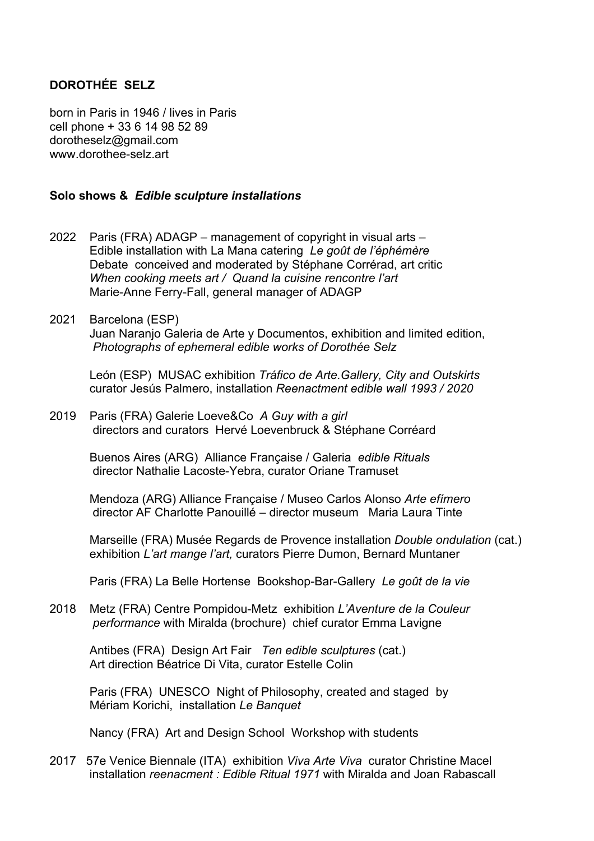# **DOROTHÉE SELZ**

born in Paris in 1946 / lives in Paris cell phone + 33 6 14 98 52 89 dorotheselz@gmail.com www.dorothee-selz.art

### **Solo shows &** *Edible sculpture installations*

- 2022 Paris (FRA) ADAGP management of copyright in visual arts Edible installation with La Mana catering *Le goût de l'éphémère* Debate conceived and moderated by Stéphane Corrérad, art critic *When cooking meets art / Quand la cuisine rencontre l'art* Marie-Anne Ferry-Fall, general manager of ADAGP
- 2021Barcelona (ESP) Juan Naranjo Galeria de Arte y Documentos, exhibition and limited edition, *Photographs of ephemeral edible works of Dorothée Selz*

León (ESP) MUSAC exhibition *Tráfico de Arte.Gallery, City and Outskirts* curator Jesús Palmero, installation *Reenactment edible wall 1993 / 2020* 

#### 2019 Paris (FRA) Galerie Loeve&Co *A Guy with a girl*  directors and curators Hervé Loevenbruck & Stéphane Corréard

Buenos Aires (ARG) Alliance Française / Galeria *edible Rituals* director Nathalie Lacoste-Yebra, curator Oriane Tramuset

Mendoza (ARG) Alliance Française / Museo Carlos Alonso *Arte efímero* director AF Charlotte Panouillé – director museum Maria Laura Tinte

Marseille (FRA) Musée Regards de Provence installation *Double ondulation* (cat.) exhibition *L'art mange l'art,* curators Pierre Dumon, Bernard Muntaner

Paris (FRA) La Belle Hortense Bookshop-Bar-Gallery *Le goût de la vie*

2018 Metz (FRA) Centre Pompidou-Metz exhibition *L'Aventure de la Couleur performance* with Miralda (brochure) chief curator Emma Lavigne

 Antibes (FRA) Design Art Fair *Ten edible sculptures* (cat.) Art direction Béatrice Di Vita, curator Estelle Colin

 Paris (FRA) UNESCO Night of Philosophy, created and staged by Mériam Korichi, installation *Le Banquet*

Nancy (FRA) Art and Design School Workshop with students

2017 57e Venice Biennale (ITA) exhibition *Viva Arte Viva* curator Christine Macel installation *reenacment : Edible Ritual 1971* with Miralda and Joan Rabascall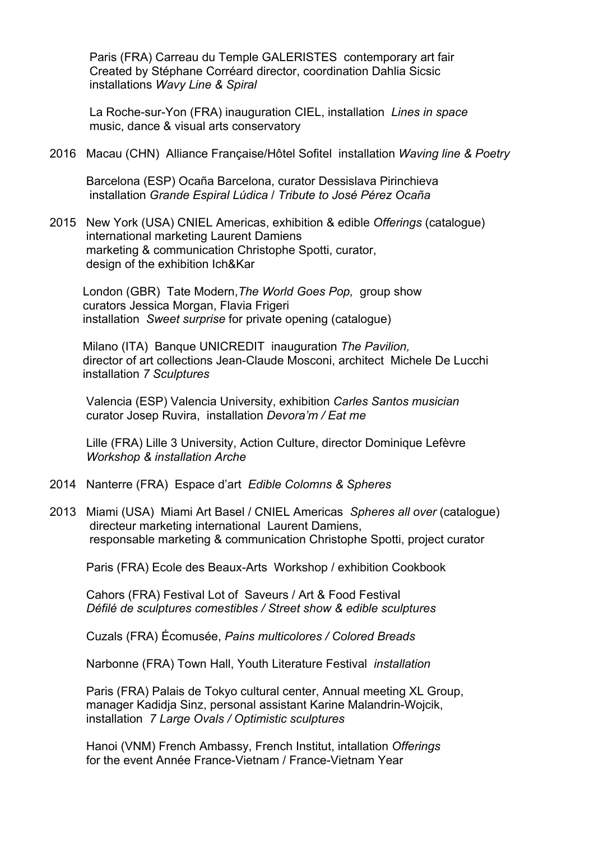Paris (FRA) Carreau du Temple GALERISTES contemporary art fair Created by Stéphane Corréard director, coordination Dahlia Sicsic installations *Wavy Line & Spiral*

 La Roche-sur-Yon (FRA) inauguration CIEL, installation *Lines in space* music, dance & visual arts conservatory

2016 Macau (CHN) Alliance Française/Hôtel Sofitel installation *Waving line & Poetry*

 Barcelona (ESP) Ocaña Barcelona, curator Dessislava Pirinchieva installation *Grande Espiral Lúdica* / *Tribute to José Pérez Ocaña* 

2015 New York (USA) CNIEL Americas, exhibition & edible *Offerings* (catalogue) international marketing Laurent Damiens marketing & communication Christophe Spotti, curator, design of the exhibition Ich&Kar

 London (GBR) Tate Modern,*The World Goes Pop,* group show curators Jessica Morgan, Flavia Frigeri installation *Sweet surprise* for private opening (catalogue)

 Milano (ITA) Banque UNICREDIT inauguration *The Pavilion,* director of art collections Jean-Claude Mosconi, architect Michele De Lucchi installation *7 Sculptures* 

 Valencia (ESP) Valencia University, exhibition *Carles Santos musician*  curator Josep Ruvira, installation *Devora'm / Eat me*

 Lille (FRA) Lille 3 University, Action Culture, director Dominique Lefèvre *Workshop & installation Arche*

- 2014 Nanterre (FRA) Espace d'art *Edible Colomns & Spheres*
- 2013 Miami (USA) Miami Art Basel / CNIEL Americas *Spheres all over* (catalogue) directeur marketing international Laurent Damiens, responsable marketing & communication Christophe Spotti, project curator

Paris (FRA) Ecole des Beaux-Arts Workshop / exhibition Cookbook

 Cahors (FRA) Festival Lot of Saveurs / Art & Food Festival *Défilé de sculptures comestibles / Street show & edible sculptures*

Cuzals (FRA) Écomusée, *Pains multicolores / Colored Breads*

Narbonne (FRA) Town Hall, Youth Literature Festival *installation*

 Paris (FRA) Palais de Tokyo cultural center, Annual meeting XL Group, manager Kadidja Sinz, personal assistant Karine Malandrin-Wojcik, installation *7 Large Ovals / Optimistic sculptures*

 Hanoi (VNM) French Ambassy, French Institut, intallation *Offerings* for the event Année France-Vietnam / France-Vietnam Year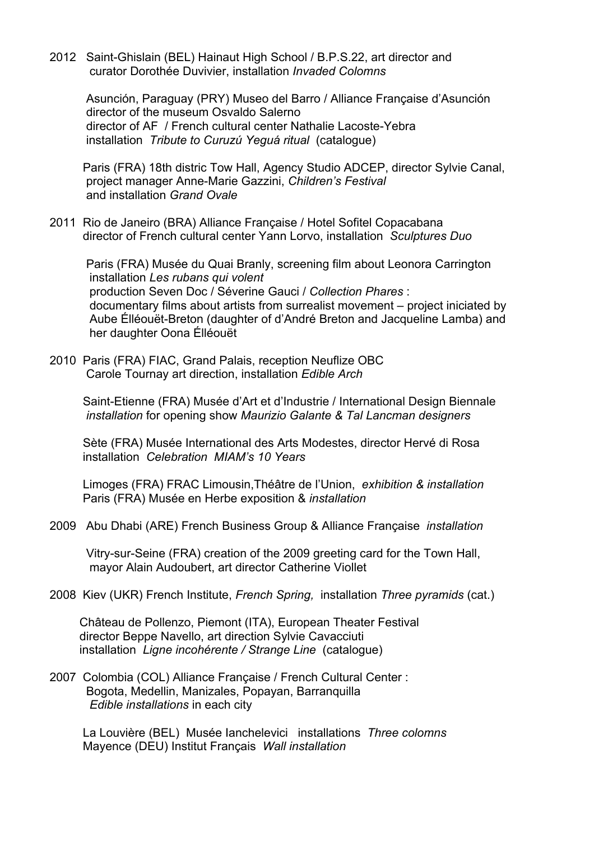2012 Saint-Ghislain (BEL) Hainaut High School / B.P.S.22, art director and curator Dorothée Duvivier, installation *Invaded Colomns*

 Asunción, Paraguay (PRY) Museo del Barro / Alliance Française d'Asunción director of the museum Osvaldo Salerno director of AF / French cultural center Nathalie Lacoste-Yebra installation *Tribute to Curuzú Yeguá ritual* (catalogue)

 Paris (FRA) 18th distric Tow Hall, Agency Studio ADCEP, director Sylvie Canal, project manager Anne-Marie Gazzini, *Children's Festival* and installation *Grand Ovale*

2011 Rio de Janeiro (BRA) Alliance Française / Hotel Sofitel Copacabana director of French cultural center Yann Lorvo, installation *Sculptures Duo*

 Paris (FRA) Musée du Quai Branly, screening film about Leonora Carrington installation *Les rubans qui volent* production Seven Doc / Séverine Gauci / *Collection Phares* : documentary films about artists from surrealist movement – project iniciated by Aube Élléouët-Breton (daughter of d'André Breton and Jacqueline Lamba) and her daughter Oona Élléouët

2010 Paris (FRA) FIAC, Grand Palais, reception Neuflize OBC Carole Tournay art direction, installation *Edible Arch* 

 Saint-Etienne (FRA) Musée d'Art et d'Industrie / International Design Biennale *installation* for opening show *Maurizio Galante & Tal Lancman designers*

 Sète (FRA) Musée International des Arts Modestes, director Hervé di Rosa installation *Celebration MIAM's 10 Years*

 Limoges (FRA) FRAC Limousin,Théâtre de l'Union, *exhibition & installation* Paris (FRA) Musée en Herbe exposition & *installation*

2009 Abu Dhabi (ARE) French Business Group & Alliance Française *installation*

 Vitry-sur-Seine (FRA) creation of the 2009 greeting card for the Town Hall, mayor Alain Audoubert, art director Catherine Viollet

2008 Kiev (UKR) French Institute, *French Spring,* installation *Three pyramids* (cat.)

 Château de Pollenzo, Piemont (ITA), European Theater Festival director Beppe Navello, art direction Sylvie Cavacciuti installation *Ligne incohérente / Strange Line* (catalogue)

2007 Colombia (COL) Alliance Française / French Cultural Center : Bogota, Medellin, Manizales, Popayan, Barranquilla *Edible installations* in each city

 La Louvière (BEL) Musée Ianchelevici installations *Three colomns* Mayence (DEU) Institut Français *Wall installation*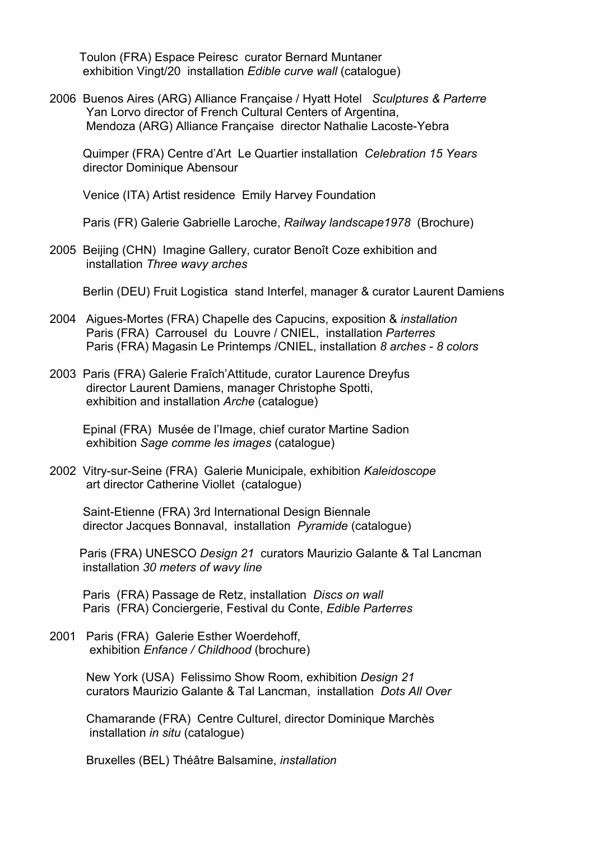Toulon (FRA) Espace Peiresc curator Bernard Muntaner exhibition Vingt/20 installation *Edible curve wall* (catalogue)

2006 Buenos Aires (ARG) Alliance Française / Hyatt Hotel *Sculptures & Parterre* Yan Lorvo director of French Cultural Centers of Argentina, Mendoza (ARG) Alliance Française director Nathalie Lacoste-Yebra

 Quimper (FRA) Centre d'Art Le Quartier installation *Celebration 15 Years* director Dominique Abensour

Venice (ITA) Artist residence Emily Harvey Foundation

Paris (FR) Galerie Gabrielle Laroche, *Railway landscape1978* (Brochure)

2005 Beijing (CHN) Imagine Gallery, curator Benoît Coze exhibition and installation *Three wavy arches*

Berlin (DEU) Fruit Logistica stand Interfel, manager & curator Laurent Damiens

- 2004 Aigues-Mortes (FRA) Chapelle des Capucins, exposition & *installation* Paris (FRA) Carrousel du Louvre / CNIEL, installation *Parterres* Paris (FRA) Magasin Le Printemps /CNIEL, installation *8 arches - 8 colors*
- 2003 Paris (FRA) Galerie Fraîch'Attitude, curator Laurence Dreyfus director Laurent Damiens, manager Christophe Spotti, exhibition and installation *Arche* (catalogue)

 Epinal (FRA) Musée de l'Image, chief curator Martine Sadion exhibition *Sage comme les images* (catalogue)

2002 Vitry-sur-Seine (FRA) Galerie Municipale, exhibition *Kaleidoscope* art director Catherine Viollet (catalogue)

 Saint-Etienne (FRA) 3rd International Design Biennale director Jacques Bonnaval, installation *Pyramide* (catalogue)

 Paris (FRA) UNESCO *Design 21* curators Maurizio Galante & Tal Lancman installation *30 meters of wavy line*

 Paris (FRA) Passage de Retz, installation *Discs on wall* Paris (FRA) Conciergerie, Festival du Conte, *Edible Parterres* 

2001 Paris (FRA) Galerie Esther Woerdehoff, exhibition *Enfance / Childhood* (brochure)

> New York (USA) Felissimo Show Room, exhibition *Design 21* curators Maurizio Galante & Tal Lancman, installation *Dots All Over*

 Chamarande (FRA) Centre Culturel, director Dominique Marchès installation *in situ* (catalogue)

Bruxelles (BEL) Théâtre Balsamine, *installation*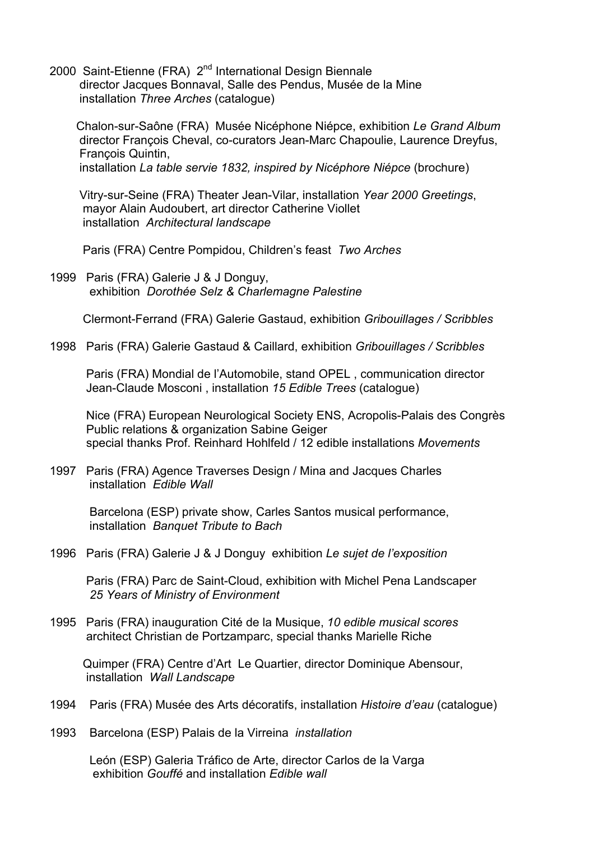2000 Saint-Etienne (FRA) 2<sup>nd</sup> International Design Biennale director Jacques Bonnaval, Salle des Pendus, Musée de la Mine installation *Three Arches* (catalogue)

 Chalon-sur-Saône (FRA) Musée Nicéphone Niépce, exhibition *Le Grand Album* director François Cheval, co-curators Jean-Marc Chapoulie, Laurence Dreyfus, François Quintin, installation *La table servie 1832, inspired by Nicéphore Niépce* (brochure)

 Vitry-sur-Seine (FRA) Theater Jean-Vilar, installation *Year 2000 Greetings*, mayor Alain Audoubert, art director Catherine Viollet installation *Architectural landscape*

Paris (FRA) Centre Pompidou, Children's feast *Two Arches*

1999 Paris (FRA) Galerie J & J Donguy, exhibition *Dorothée Selz & Charlemagne Palestine*

Clermont-Ferrand (FRA) Galerie Gastaud, exhibition *Gribouillages / Scribbles*

1998 Paris (FRA) Galerie Gastaud & Caillard, exhibition *Gribouillages / Scribbles*

 Paris (FRA) Mondial de l'Automobile, stand OPEL , communication director Jean-Claude Mosconi , installation *15 Edible Trees* (catalogue)

 Nice (FRA) European Neurological Society ENS, Acropolis-Palais des Congrès Public relations & organization Sabine Geiger special thanks Prof. Reinhard Hohlfeld / 12 edible installations *Movements*

1997 Paris (FRA) Agence Traverses Design / Mina and Jacques Charles installation *Edible Wall*

 Barcelona (ESP) private show, Carles Santos musical performance, installation *Banquet Tribute to Bach* 

1996 Paris (FRA) Galerie J & J Donguy exhibition *Le sujet de l'exposition*

 Paris (FRA) Parc de Saint-Cloud, exhibition with Michel Pena Landscaper *25 Years of Ministry of Environment* 

1995 Paris (FRA) inauguration Cité de la Musique, *10 edible musical scores* architect Christian de Portzamparc, special thanks Marielle Riche

 Quimper (FRA) Centre d'Art Le Quartier, director Dominique Abensour, installation *Wall Landscape*

- 1994 Paris (FRA) Musée des Arts décoratifs, installation *Histoire d'eau* (catalogue)
- 1993 Barcelona (ESP) Palais de la Virreina *installation*

 León (ESP) Galeria Tráfico de Arte, director Carlos de la Varga exhibition *Gouffé* and installation *Edible wall*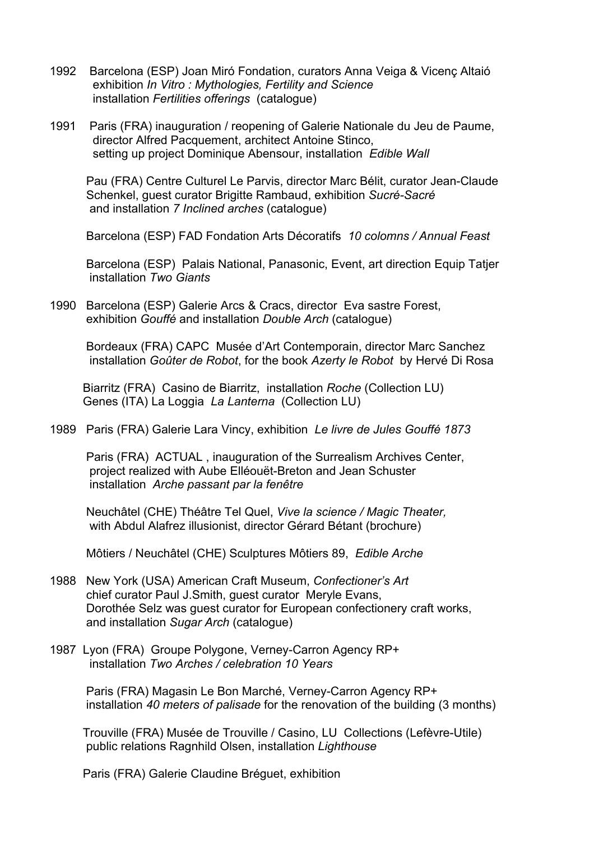- 1992 Barcelona (ESP) Joan Miró Fondation, curators Anna Veiga & Vicenç Altaió exhibition *In Vitro : Mythologies, Fertility and Science* installation *Fertilities offerings* (catalogue)
- 1991 Paris (FRA) inauguration / reopening of Galerie Nationale du Jeu de Paume, director Alfred Pacquement, architect Antoine Stinco, setting up project Dominique Abensour, installation *Edible Wall*

 Pau (FRA) Centre Culturel Le Parvis, director Marc Bélit, curator Jean-Claude Schenkel, guest curator Brigitte Rambaud, exhibition *Sucré-Sacré* and installation *7 Inclined arches* (catalogue)

Barcelona (ESP) FAD Fondation Arts Décoratifs *10 colomns / Annual Feast*

Barcelona (ESP) Palais National, Panasonic, Event, art direction Equip Tatjer installation *Two Giants*

1990 Barcelona (ESP) Galerie Arcs & Cracs, director Eva sastre Forest, exhibition *Gouffé* and installation *Double Arch* (catalogue)

 Bordeaux (FRA) CAPC Musée d'Art Contemporain, director Marc Sanchez installation *Goûter de Robot*, for the book *Azerty le Robot* by Hervé Di Rosa

Biarritz (FRA) Casino de Biarritz, installation *Roche* (Collection LU) Genes (ITA) La Loggia *La Lanterna* (Collection LU)

1989 Paris (FRA) Galerie Lara Vincy, exhibition *Le livre de Jules Gouffé 1873*

 Paris (FRA) ACTUAL , inauguration of the Surrealism Archives Center, project realized with Aube Elléouët-Breton and Jean Schuster installation *Arche passant par la fenêtre*

 Neuchâtel (CHE) Théâtre Tel Quel, *Vive la science / Magic Theater,* with Abdul Alafrez illusionist, director Gérard Bétant (brochure)

Môtiers / Neuchâtel (CHE) Sculptures Môtiers 89, *Edible Arche*

- 1988 New York (USA) American Craft Museum, *Confectioner's Art* chief curator Paul J.Smith, guest curator Meryle Evans, Dorothée Selz was guest curator for European confectionery craft works, and installation *Sugar Arch* (catalogue)
- 1987 Lyon (FRA) Groupe Polygone, Verney-Carron Agency RP+ installation *Two Arches / celebration 10 Years*

 Paris (FRA) Magasin Le Bon Marché, Verney-Carron Agency RP+ installation *40 meters of palisade* for the renovation of the building (3 months)

 Trouville (FRA) Musée de Trouville / Casino, LU Collections (Lefèvre-Utile) public relations Ragnhild Olsen, installation *Lighthouse*

Paris (FRA) Galerie Claudine Bréguet, exhibition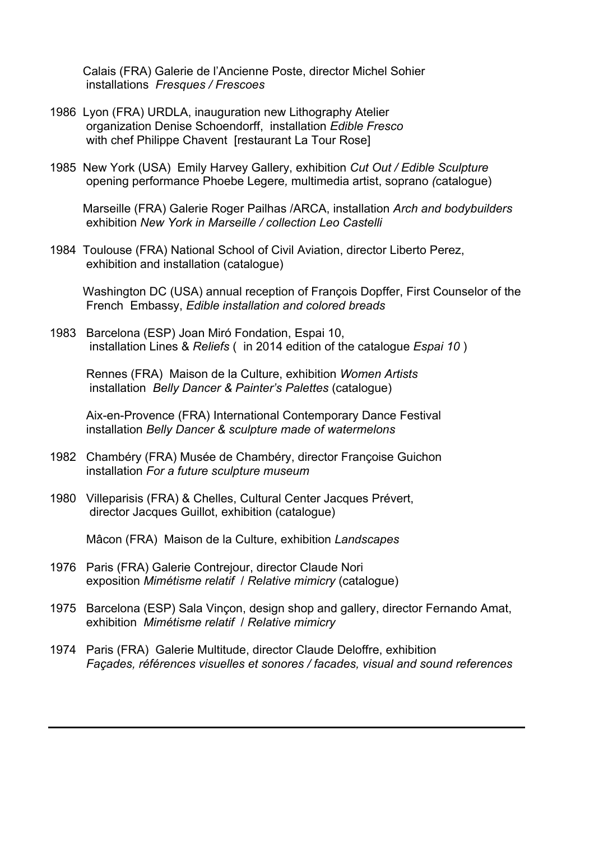Calais (FRA) Galerie de l'Ancienne Poste, director Michel Sohier installations *Fresques / Frescoes* 

- 1986Lyon (FRA) URDLA, inauguration new Lithography Atelier organization Denise Schoendorff, installation *Edible Fresco* with chef Philippe Chavent [restaurant La Tour Rose]
- 1985 New York (USA) Emily Harvey Gallery, exhibition *Cut Out / Edible Sculpture* opening performance Phoebe Legere*,* multimedia artist, soprano *(*catalogue)

 Marseille (FRA) Galerie Roger Pailhas /ARCA, installation *Arch and bodybuilders* exhibition *New York in Marseille / collection Leo Castelli*

1984 Toulouse (FRA) National School of Civil Aviation, director Liberto Perez, exhibition and installation (catalogue)

 Washington DC (USA) annual reception of François Dopffer, First Counselor of the French Embassy, *Edible installation and colored breads*

1983 Barcelona (ESP) Joan Miró Fondation, Espai 10, installation Lines & *Reliefs* ( in 2014 edition of the catalogue *Espai 10* )

 Rennes (FRA) Maison de la Culture, exhibition *Women Artists* installation *Belly Dancer & Painter's Palettes* (catalogue)

Aix-en-Provence (FRA) International Contemporary Dance Festival installation *Belly Dancer & sculpture made of watermelons*

- 1982 Chambéry (FRA) Musée de Chambéry, director Françoise Guichon installation *For a future sculpture museum*
- 1980 Villeparisis (FRA) & Chelles, Cultural Center Jacques Prévert, director Jacques Guillot, exhibition (catalogue)

Mâcon (FRA) Maison de la Culture, exhibition *Landscapes*

- 1976 Paris (FRA) Galerie Contrejour, director Claude Nori exposition *Mimétisme relatif* / *Relative mimicry* (catalogue)
- 1975 Barcelona (ESP) Sala Vinçon, design shop and gallery, director Fernando Amat, exhibition *Mimétisme relatif* / *Relative mimicry*
- 1974 Paris (FRA) Galerie Multitude, director Claude Deloffre, exhibition *Façades, références visuelles et sonores / facades, visual and sound references*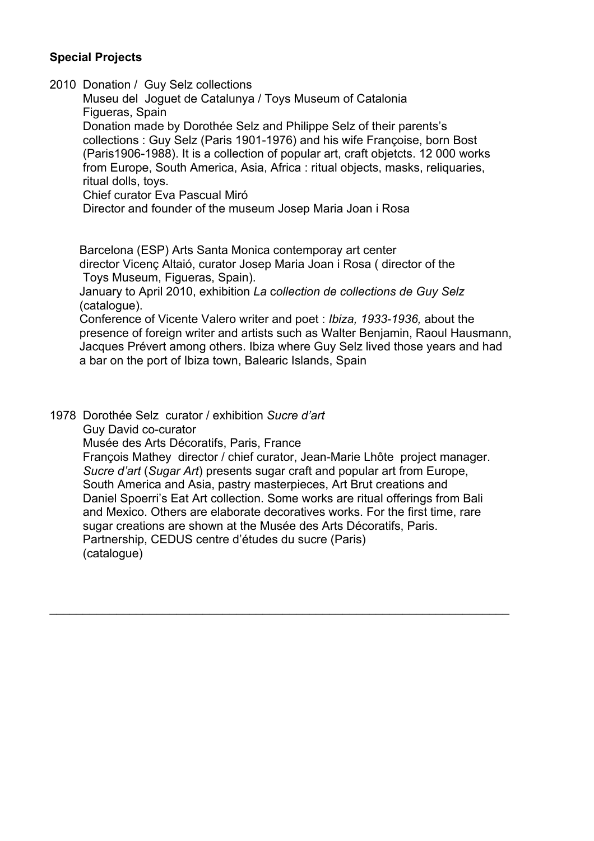## **Special Projects**

2010 Donation / Guy Selz collections

 Museu del Joguet de Catalunya / Toys Museum of Catalonia Figueras, Spain Donation made by Dorothée Selz and Philippe Selz of their parents's collections : Guy Selz (Paris 1901-1976) and his wife Françoise, born Bost (Paris1906-1988). It is a collection of popular art, craft objetcts. 12 000 works from Europe, South America, Asia, Africa : ritual objects, masks, reliquaries, ritual dolls, toys.

Chief curator Eva Pascual Miró

Director and founder of the museum Josep Maria Joan i Rosa

Barcelona (ESP) Arts Santa Monica contemporay art center

 director Vicenç Altaió, curator Josep Maria Joan i Rosa ( director of the Toys Museum, Figueras, Spain).

 January to April 2010, exhibition *La* c*ollection de collections de Guy Selz* (catalogue).

 Conference of Vicente Valero writer and poet : *Ibiza, 1933-1936,* about the presence of foreign writer and artists such as Walter Benjamin, Raoul Hausmann, Jacques Prévert among others. Ibiza where Guy Selz lived those years and had a bar on the port of Ibiza town, Balearic Islands, Spain

1978 Dorothée Selz curator / exhibition *Sucre d'art* Guy David co-curator

Musée des Arts Décoratifs, Paris, France

 François Mathey director / chief curator, Jean-Marie Lhôte project manager. *Sucre d'art* (*Sugar Art*) presents sugar craft and popular art from Europe, South America and Asia, pastry masterpieces, Art Brut creations and Daniel Spoerri's Eat Art collection. Some works are ritual offerings from Bali and Mexico. Others are elaborate decoratives works. For the first time, rare sugar creations are shown at the Musée des Arts Décoratifs, Paris. Partnership, CEDUS centre d'études du sucre (Paris) (catalogue)

 $\mathcal{L}_\text{max}$  and  $\mathcal{L}_\text{max}$  and  $\mathcal{L}_\text{max}$  and  $\mathcal{L}_\text{max}$  and  $\mathcal{L}_\text{max}$  and  $\mathcal{L}_\text{max}$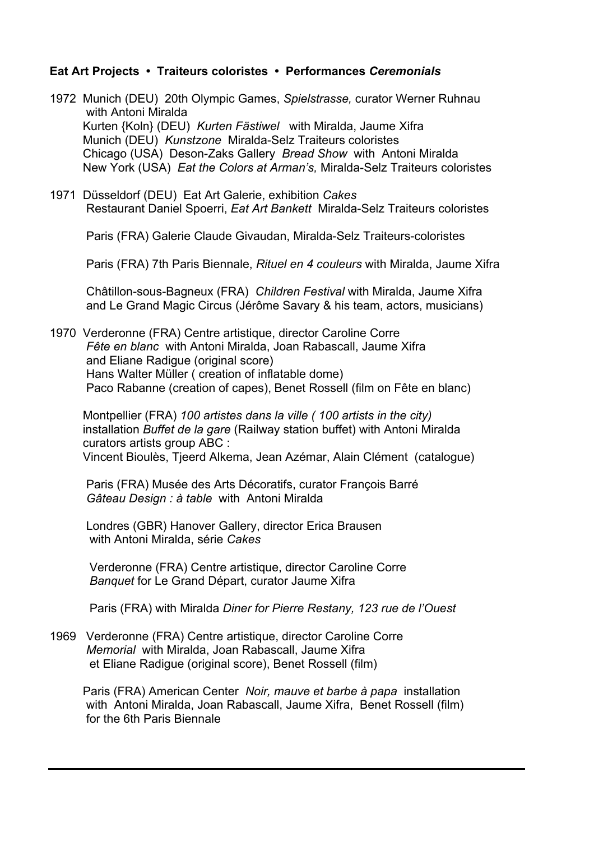### **Eat Art Projects • Traiteurs coloristes • Performances** *Ceremonials*

- 1972 Munich (DEU) 20th Olympic Games, *Spielstrasse,* curator Werner Ruhnau with Antoni Miralda Kurten {Koln} (DEU) *Kurten Fästiwel* with Miralda, Jaume Xifra Munich (DEU) *Kunstzone* Miralda-Selz Traiteurs coloristes Chicago (USA) Deson-Zaks Gallery *Bread Show* with Antoni Miralda New York (USA) *Eat the Colors at Arman's,* Miralda-Selz Traiteurs coloristes
- 1971 Düsseldorf (DEU) Eat Art Galerie, exhibition *Cakes*  Restaurant Daniel Spoerri, *Eat Art Bankett* Miralda-Selz Traiteurs coloristes

Paris (FRA) Galerie Claude Givaudan, Miralda-Selz Traiteurs-coloristes

Paris (FRA) 7th Paris Biennale, *Rituel en 4 couleurs* with Miralda, Jaume Xifra

Châtillon-sous-Bagneux (FRA) *Children Festival* with Miralda, Jaume Xifra and Le Grand Magic Circus (Jérôme Savary & his team, actors, musicians)

1970 Verderonne (FRA) Centre artistique, director Caroline Corre *Fête en blanc* with Antoni Miralda, Joan Rabascall, Jaume Xifra and Eliane Radigue (original score) Hans Walter Müller ( creation of inflatable dome) Paco Rabanne (creation of capes), Benet Rossell (film on Fête en blanc)

 Montpellier (FRA) *100 artistes dans la ville ( 100 artists in the city)* installation *Buffet de la gare* (Railway station buffet) with Antoni Miralda curators artists group ABC : Vincent Bioulès, Tjeerd Alkema, Jean Azémar, Alain Clément (catalogue)

 Paris (FRA) Musée des Arts Décoratifs, curator François Barré *Gâteau Design : à table* with Antoni Miralda

 Londres (GBR) Hanover Gallery, director Erica Brausen with Antoni Miralda, série *Cakes*

 Verderonne (FRA) Centre artistique, director Caroline Corre *Banquet* for Le Grand Départ, curator Jaume Xifra

Paris (FRA) with Miralda *Diner for Pierre Restany, 123 rue de l'Ouest*

1969 Verderonne (FRA) Centre artistique, director Caroline Corre *Memorial* with Miralda, Joan Rabascall, Jaume Xifra et Eliane Radigue (original score), Benet Rossell (film)

 Paris (FRA) American Center *Noir, mauve et barbe à papa* installation with Antoni Miralda, Joan Rabascall, Jaume Xifra, Benet Rossell (film) for the 6th Paris Biennale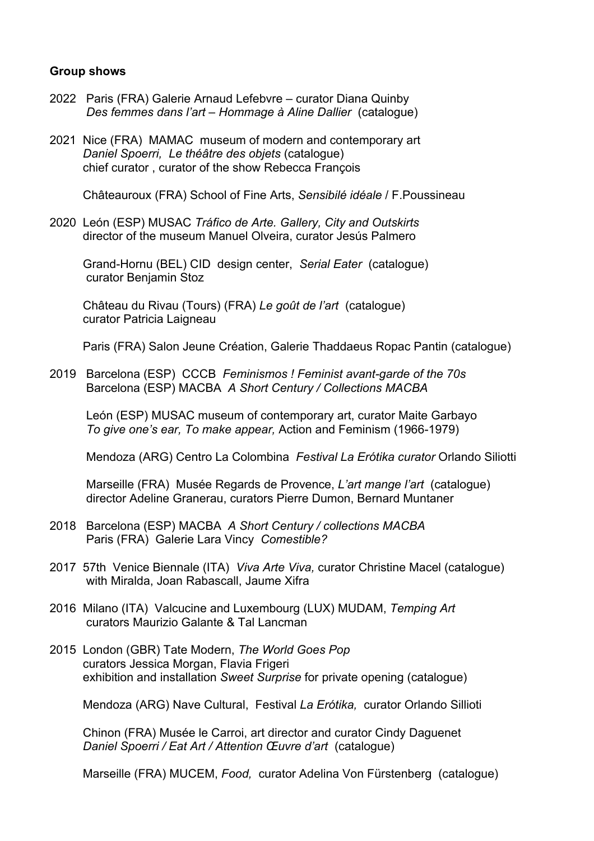#### **Group shows**

- 2022 Paris (FRA) Galerie Arnaud Lefebvre curator Diana Quinby *Des femmes dans l'art – Hommage à Aline Dallier* (catalogue)
- 2021 Nice (FRA) MAMAC museum of modern and contemporary art *Daniel Spoerri, Le théâtre des objets* (catalogue) chief curator , curator of the show Rebecca François

Châteauroux (FRA) School of Fine Arts, *Sensibilé idéale* / F.Poussineau

2020León (ESP) MUSAC *Tráfico de Arte. Gallery, City and Outskirts* director of the museum Manuel Olveira, curator Jesús Palmero

Grand-Hornu (BEL) CID design center, *Serial Eater* (catalogue) curator Benjamin Stoz

Château du Rivau (Tours) (FRA) *Le goût de l'art* (catalogue) curator Patricia Laigneau

Paris (FRA) Salon Jeune Création, Galerie Thaddaeus Ropac Pantin (catalogue)

2019 Barcelona (ESP) CCCB *Feminismos ! Feminist avant-garde of the 70s* Barcelona (ESP) MACBA *A Short Century / Collections MACBA*

León (ESP) MUSAC museum of contemporary art, curator Maite Garbayo  *To give one's ear, To make appear,* Action and Feminism (1966-1979)

Mendoza (ARG) Centro La Colombina *Festival La Erótika curator* Orlando Siliotti

Marseille (FRA) Musée Regards de Provence, *L'art mange l'art* (catalogue) director Adeline Granerau, curators Pierre Dumon, Bernard Muntaner

- 2018 Barcelona (ESP) MACBA *A Short Century / collections MACBA* Paris (FRA) Galerie Lara Vincy *Comestible?*
- 2017 57th Venice Biennale (ITA) *Viva Arte Viva,* curator Christine Macel (catalogue) with Miralda, Joan Rabascall, Jaume Xifra
- 2016 Milano (ITA) Valcucine and Luxembourg (LUX) MUDAM, *Temping Art* curators Maurizio Galante & Tal Lancman
- 2015 London (GBR) Tate Modern, *The World Goes Pop* curators Jessica Morgan, Flavia Frigeri exhibition and installation *Sweet Surprise* for private opening (catalogue)

Mendoza (ARG) Nave Cultural, Festival *La Erótika,* curator Orlando Sillioti

 Chinon (FRA) Musée le Carroi, art director and curator Cindy Daguenet *Daniel Spoerri / Eat Art / Attention Œuvre d'art* (catalogue)

Marseille (FRA) MUCEM, *Food,* curator Adelina Von Fürstenberg (catalogue)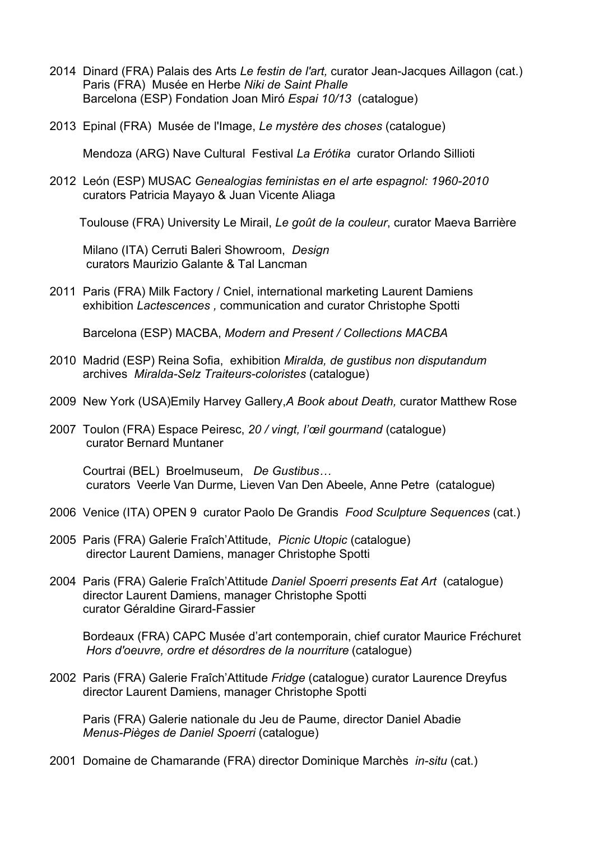- 2014 Dinard (FRA) Palais des Arts *Le festin de l'art,* curator Jean-Jacques Aillagon (cat.) Paris (FRA) Musée en Herbe *Niki de Saint Phalle* Barcelona (ESP) Fondation Joan Miró *Espai 10/13* (catalogue)
- 2013 Epinal (FRA) Musée de l'Image, *Le mystère des choses* (catalogue)

Mendoza (ARG) Nave Cultural Festival *La Erótika* curator Orlando Sillioti

2012León (ESP) MUSAC *Genealogias feministas en el arte espagnol: 1960-2010* curators Patricia Mayayo & Juan Vicente Aliaga

Toulouse (FRA) University Le Mirail, *Le goût de la couleur*, curator Maeva Barrière

 Milano (ITA) Cerruti Baleri Showroom, *Design* curators Maurizio Galante & Tal Lancman

2011 Paris (FRA) Milk Factory / Cniel, international marketing Laurent Damiens exhibition *Lactescences ,* communication and curator Christophe Spotti

Barcelona (ESP) MACBA, *Modern and Present / Collections MACBA*

- 2010 Madrid (ESP) Reina Sofia, exhibition *Miralda, de gustibus non disputandum*  archives *Miralda-Selz Traiteurs-coloristes* (catalogue)
- 2009 New York (USA)Emily Harvey Gallery,*A Book about Death,* curator Matthew Rose
- 2007 Toulon (FRA) Espace Peiresc, *20 / vingt, l'œil gourmand* (catalogue) curator Bernard Muntaner

Courtrai (BEL) Broelmuseum, *De Gustibus…* curators Veerle Van Durme, Lieven Van Den Abeele, Anne Petre (catalogue)

- 2006 Venice (ITA) OPEN 9 curator Paolo De Grandis *Food Sculpture Sequences* (cat.)
- 2005 Paris (FRA) Galerie Fraîch'Attitude, *Picnic Utopic* (catalogue) director Laurent Damiens, manager Christophe Spotti
- 2004 Paris (FRA) Galerie Fraîch'Attitude *Daniel Spoerri presents Eat Art* (catalogue) director Laurent Damiens, manager Christophe Spotti curator Géraldine Girard-Fassier

 Bordeaux (FRA) CAPC Musée d'art contemporain, chief curator Maurice Fréchuret *Hors d'oeuvre, ordre et désordres de la nourriture* (catalogue)

2002 Paris (FRA) Galerie Fraîch'Attitude *Fridge* (catalogue) curator Laurence Dreyfus director Laurent Damiens, manager Christophe Spotti

 Paris (FRA) Galerie nationale du Jeu de Paume, director Daniel Abadie *Menus-Pièges de Daniel Spoerri* (catalogue)

2001 Domaine de Chamarande (FRA) director Dominique Marchès *in-situ* (cat.)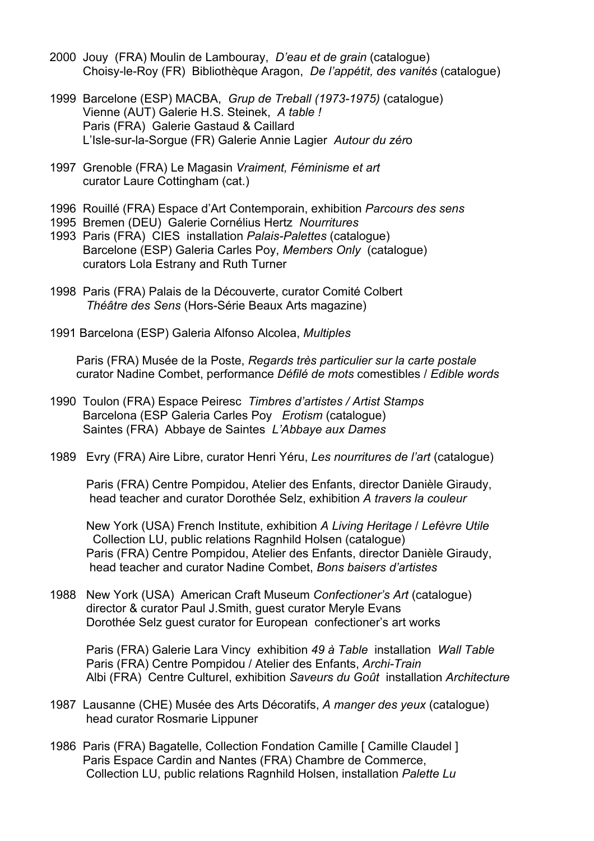- 2000 Jouy (FRA) Moulin de Lambouray, *D'eau et de grain* (catalogue) Choisy-le-Roy (FR) Bibliothèque Aragon, *De l'appétit, des vanités* (catalogue)
- 1999 Barcelone (ESP) MACBA, *Grup de Treball (1973-1975)* (catalogue) Vienne (AUT) Galerie H.S. Steinek, *A table !* Paris (FRA) Galerie Gastaud & Caillard L'Isle-sur-la-Sorgue (FR) Galerie Annie Lagier *Autour du zér*o
- 1997 Grenoble (FRA) Le Magasin *Vraiment, Féminisme et art* curator Laure Cottingham (cat.)
- 1996 Rouillé (FRA) Espace d'Art Contemporain, exhibition *Parcours des sens*
- 1995 Bremen (DEU) Galerie Cornélius Hertz *Nourritures*
- 1993 Paris (FRA) CIES installation *Palais-Palettes* (catalogue) Barcelone (ESP) Galeria Carles Poy, *Members Only* (catalogue) curators Lola Estrany and Ruth Turner
- 1998 Paris (FRA) Palais de la Découverte, curator Comité Colbert *Théâtre des Sens* (Hors-Série Beaux Arts magazine)
- 1991 Barcelona (ESP) Galeria Alfonso Alcolea, *Multiples*

Paris (FRA) Musée de la Poste, *Regards très particulier sur la carte postale* curator Nadine Combet, performance *Défilé de mots* comestibles / *Edible words*

- 1990 Toulon (FRA) Espace Peiresc *Timbres d'artistes / Artist Stamps* Barcelona (ESP Galeria Carles Poy *Erotism* (catalogue) Saintes (FRA) Abbaye de Saintes *L'Abbaye aux Dames*
- 1989 Evry (FRA) Aire Libre, curator Henri Yéru, *Les nourritures de l'art* (catalogue)

 Paris (FRA) Centre Pompidou, Atelier des Enfants, director Danièle Giraudy, head teacher and curator Dorothée Selz, exhibition *A travers la couleur*

New York (USA) French Institute, exhibition *A Living Heritage* / *Lefèvre Utile* Collection LU, public relations Ragnhild Holsen (catalogue) Paris (FRA) Centre Pompidou, Atelier des Enfants, director Danièle Giraudy, head teacher and curator Nadine Combet, *Bons baisers d'artistes*

1988 New York (USA) American Craft Museum *Confectioner's Art* (catalogue) director & curator Paul J.Smith, guest curator Meryle Evans Dorothée Selz guest curator for European confectioner's art works

 Paris (FRA) Galerie Lara Vincy exhibition *49 à Table* installation *Wall Table* Paris (FRA) Centre Pompidou / Atelier des Enfants, *Archi-Train* Albi (FRA) Centre Culturel, exhibition *Saveurs du Goût* installation *Architecture*

- 1987 Lausanne (CHE) Musée des Arts Décoratifs, *A manger des yeux* (catalogue) head curator Rosmarie Lippuner
- 1986 Paris (FRA) Bagatelle, Collection Fondation Camille [ Camille Claudel ] Paris Espace Cardin and Nantes (FRA) Chambre de Commerce, Collection LU, public relations Ragnhild Holsen, installation *Palette Lu*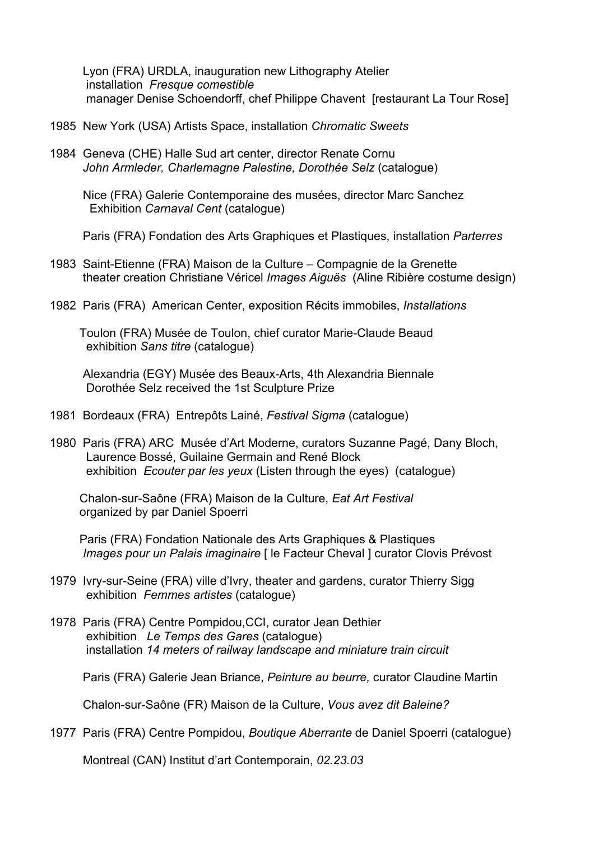Lyon (FRA) URDLA, inauguration new Lithography Atelier installation *Fresque comestible* manager Denise Schoendorff, chef Philippe Chavent [restaurant La Tour Rose]

- 1985 New York (USA) Artists Space, installation *Chromatic Sweets*
- 1984 Geneva (CHE) Halle Sud art center, director Renate Cornu *John Armleder, Charlemagne Palestine, Dorothée Selz* (catalogue)

 Nice (FRA) Galerie Contemporaine des musées, director Marc Sanchez Exhibition *Carnaval Cent* (catalogue)

Paris (FRA) Fondation des Arts Graphiques et Plastiques, installation *Parterres*

- 1983 Saint-Etienne (FRA) Maison de la Culture Compagnie de la Grenette theater creation Christiane Véricel *Images Aiguës* (Aline Ribière costume design)
- 1982 Paris (FRA) American Center, exposition Récits immobiles, *Installations*

 Toulon (FRA) Musée de Toulon, chief curator Marie-Claude Beaud exhibition *Sans titre* (catalogue)

 Alexandria (EGY) Musée des Beaux-Arts, 4th Alexandria Biennale Dorothée Selz received the 1st Sculpture Prize

- 1981 Bordeaux (FRA) Entrepôts Lainé, *Festival Sigma* (catalogue)
- 1980 Paris (FRA) ARC Musée d'Art Moderne, curators Suzanne Pagé, Dany Bloch, Laurence Bossé, Guilaine Germain and René Block exhibition *Ecouter par les yeux* (Listen through the eyes) (catalogue)

 Chalon-sur-Saône (FRA) Maison de la Culture, *Eat Art Festival* organized by par Daniel Spoerri

 Paris (FRA) Fondation Nationale des Arts Graphiques & Plastiques *Images pour un Palais imaginaire* [ le Facteur Cheval ] curator Clovis Prévost

- 1979 Ivry-sur-Seine (FRA) ville d'Ivry, theater and gardens, curator Thierry Sigg exhibition *Femmes artistes* (catalogue)
- 1978 Paris (FRA) Centre Pompidou,CCI, curator Jean Dethier exhibition *Le Temps des Gares* (catalogue) installation *14 meters of railway landscape and miniature train circuit*

Paris (FRA) Galerie Jean Briance, *Peinture au beurre,* curator Claudine Martin

Chalon-sur-Saône (FR) Maison de la Culture, *Vous avez dit Baleine?*

1977 Paris (FRA) Centre Pompidou, *Boutique Aberrante* de Daniel Spoerri (catalogue)

Montreal (CAN) Institut d'art Contemporain, *02.23.03*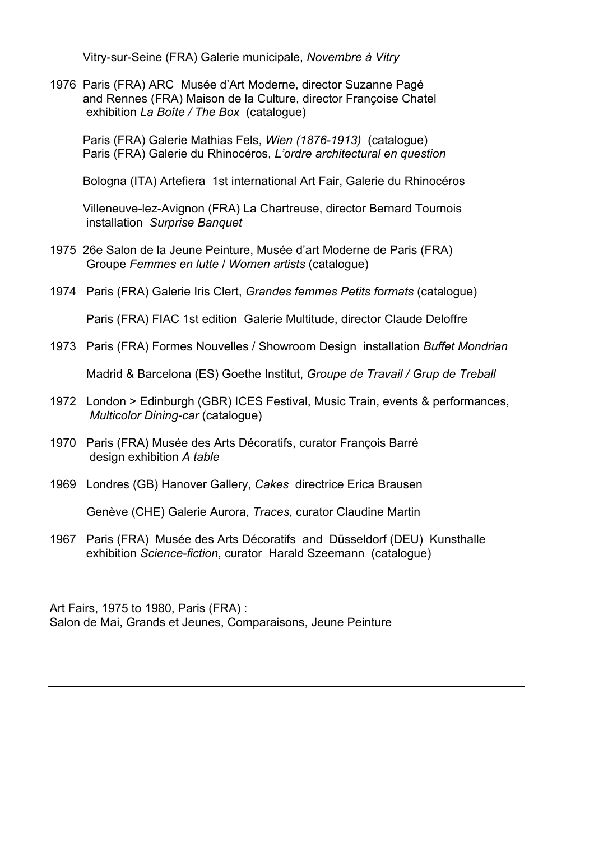Vitry-sur-Seine (FRA) Galerie municipale, *Novembre à Vitry*

1976 Paris (FRA) ARC Musée d'Art Moderne, director Suzanne Pagé and Rennes (FRA) Maison de la Culture, director Françoise Chatel exhibition *La Boîte / The Box* (catalogue)

 Paris (FRA) Galerie Mathias Fels, *Wien (1876-1913)* (catalogue) Paris (FRA) Galerie du Rhinocéros, *L'ordre architectural en question*

Bologna (ITA) Artefiera 1st international Art Fair, Galerie du Rhinocéros

 Villeneuve-lez-Avignon (FRA) La Chartreuse, director Bernard Tournois installation *Surprise Banquet* 

- 1975 26e Salon de la Jeune Peinture, Musée d'art Moderne de Paris (FRA) Groupe *Femmes en lutte* / *Women artists* (catalogue)
- 1974 Paris (FRA) Galerie Iris Clert, *Grandes femmes Petits formats* (catalogue)

Paris (FRA) FIAC 1st edition Galerie Multitude, director Claude Deloffre

1973 Paris (FRA) Formes Nouvelles / Showroom Design installation *Buffet Mondrian*

Madrid & Barcelona (ES) Goethe Institut, *Groupe de Travail / Grup de Treball*

- 1972 London > Edinburgh (GBR) ICES Festival, Music Train, events & performances, *Multicolor Dining-car* (catalogue)
- 1970 Paris (FRA) Musée des Arts Décoratifs, curator François Barré design exhibition *A table*
- 1969 Londres (GB) Hanover Gallery, *Cakes* directrice Erica Brausen

Genève (CHE) Galerie Aurora, *Traces*, curator Claudine Martin

1967 Paris (FRA) Musée des Arts Décoratifs and Düsseldorf (DEU) Kunsthalle exhibition *Science-fiction*, curator Harald Szeemann (catalogue)

Art Fairs, 1975 to 1980, Paris (FRA) : Salon de Mai, Grands et Jeunes, Comparaisons, Jeune Peinture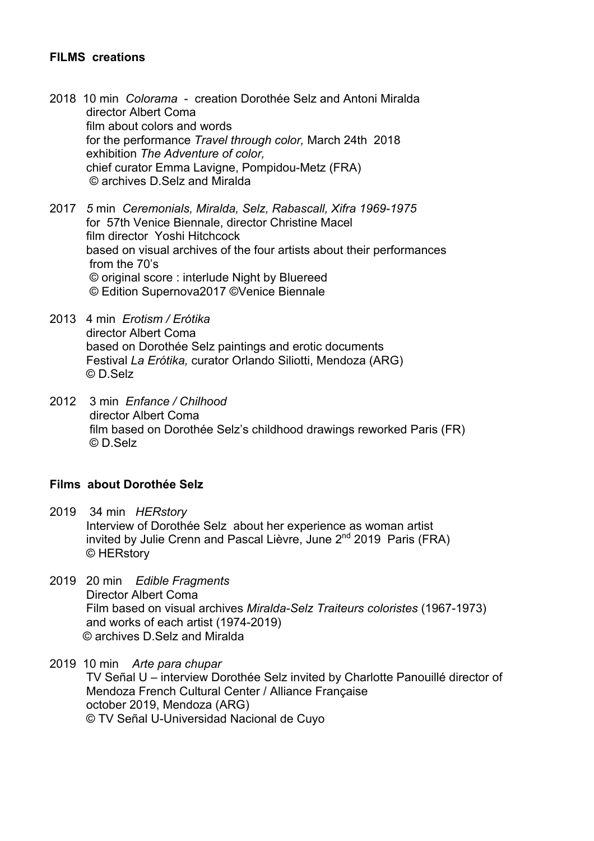### **FILMS creations**

- 2018 10 min *Colorama*  creation Dorothée Selz and Antoni Miralda director Albert Coma film about colors and words for the performance *Travel through color,* March 24th 2018 exhibition *The Adventure of color,* chief curator Emma Lavigne, Pompidou-Metz (FRA) © archives D.Selz and Miralda
- 2017 *5* min *Ceremonials, Miralda, Selz, Rabascall, Xifra 1969-1975*  for 57th Venice Biennale, director Christine Macel film director Yoshi Hitchcock based on visual archives of the four artists about their performances from the 70's © original score : interlude Night by Bluereed © Edition Supernova2017 ©Venice Biennale
- 2013 4 min *Erotism / Erótika* director Albert Coma based on Dorothée Selz paintings and erotic documents Festival *La Erótika,* curator Orlando Siliotti, Mendoza (ARG) © D.Selz
- 2012 3 min *Enfance / Chilhood* director Albert Coma film based on Dorothée Selz's childhood drawings reworked Paris (FR) © D.Selz

#### **Films about Dorothée Selz**

- 2019 34 min *HERstory*  Interview of Dorothée Selz about her experience as woman artist invited by Julie Crenn and Pascal Lièvre, June  $2^{nd}$  2019 Paris (FRA) © HERstory
- 2019 20 min *Edible Fragments* **Director Albert Coma**  Film based on visual archives *Miralda-Selz Traiteurs coloristes* (1967-1973) and works of each artist (1974-2019) © archives D.Selz and Miralda
- 2019 10 min *Arte para chupar* TV Señal U – interview Dorothée Selz invited by Charlotte Panouillé director of Mendoza French Cultural Center / Alliance Française october 2019, Mendoza (ARG) © TV Señal U-Universidad Nacional de Cuyo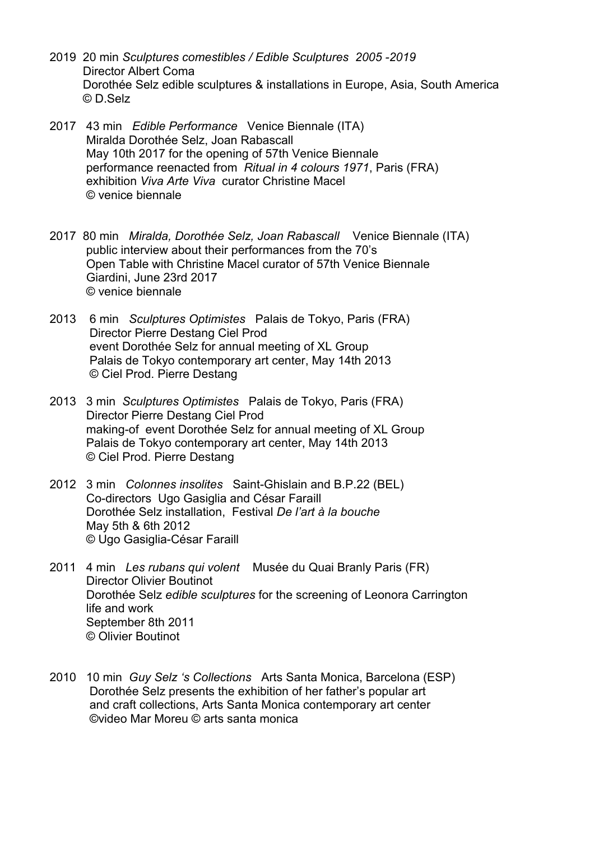- 2019 20 min *Sculptures comestibles / Edible Sculptures 2005 -2019* Director Albert Coma Dorothée Selz edible sculptures & installations in Europe, Asia, South America © D.Selz
- 2017 43 min *Edible Performance* Venice Biennale (ITA) Miralda Dorothée Selz, Joan Rabascall May 10th 2017 for the opening of 57th Venice Biennale performance reenacted from *Ritual in 4 colours 1971*, Paris (FRA) exhibition *Viva Arte Viva* curator Christine Macel © venice biennale
- 2017 80 min *Miralda, Dorothée Selz, Joan Rabascall* Venice Biennale (ITA) public interview about their performances from the 70's Open Table with Christine Macel curator of 57th Venice Biennale Giardini, June 23rd 2017 © venice biennale
- 2013 6 min *Sculptures Optimistes* Palais de Tokyo, Paris (FRA) Director Pierre Destang Ciel Prod event Dorothée Selz for annual meeting of XL Group Palais de Tokyo contemporary art center, May 14th 2013 © Ciel Prod. Pierre Destang
- 2013 3 min *Sculptures Optimistes* Palais de Tokyo, Paris (FRA) Director Pierre Destang Ciel Prod making-of event Dorothée Selz for annual meeting of XL Group Palais de Tokyo contemporary art center, May 14th 2013 © Ciel Prod. Pierre Destang
- 2012 3 min *Colonnes insolites* Saint-Ghislain and B.P.22 (BEL) Co-directors Ugo Gasiglia and César Faraill Dorothée Selz installation, Festival *De l'art à la bouche*  May 5th & 6th 2012 © Ugo Gasiglia-César Faraill
- 2011 4 min *Les rubans qui volent* Musée du Quai Branly Paris (FR) **Director Olivier Boutinot**  Dorothée Selz *edible sculptures* for the screening of Leonora Carrington life and work September 8th 2011 © Olivier Boutinot
- 2010 10 min *Guy Selz 's Collections* Arts Santa Monica, Barcelona (ESP) Dorothée Selz presents the exhibition of her father's popular art and craft collections, Arts Santa Monica contemporary art center ©video Mar Moreu © arts santa monica